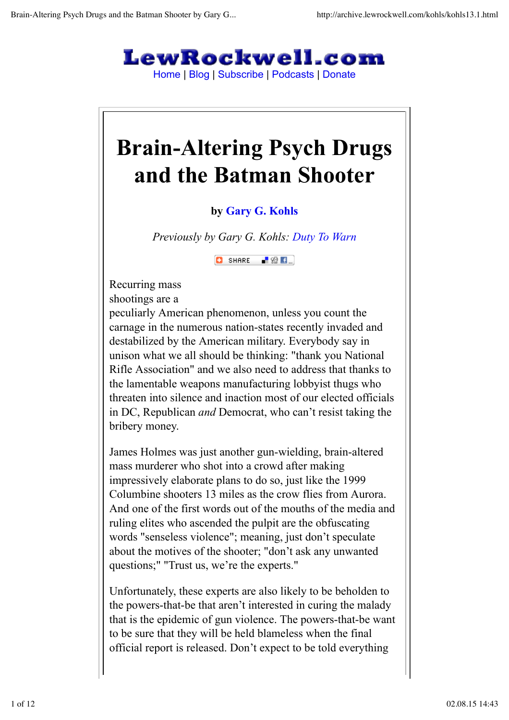

Home | Blog | Subscribe | Podcasts | Donate

# **Brain-Altering Psych Drugs and the Batman Shooter**

## **by Gary G. Kohls**

*Previously by Gary G. Kohls: Duty To Warn*

 $\Box$  SHARE  $\Box$   $\otimes$   $\Box$ 

Recurring mass shootings are a

peculiarly American phenomenon, unless you count the carnage in the numerous nation-states recently invaded and destabilized by the American military. Everybody say in unison what we all should be thinking: "thank you National Rifle Association" and we also need to address that thanks to the lamentable weapons manufacturing lobbyist thugs who threaten into silence and inaction most of our elected officials in DC, Republican *and* Democrat, who can't resist taking the bribery money.

James Holmes was just another gun-wielding, brain-altered mass murderer who shot into a crowd after making impressively elaborate plans to do so, just like the 1999 Columbine shooters 13 miles as the crow flies from Aurora. And one of the first words out of the mouths of the media and ruling elites who ascended the pulpit are the obfuscating words "senseless violence"; meaning, just don't speculate about the motives of the shooter; "don't ask any unwanted questions;" "Trust us, we're the experts."

Unfortunately, these experts are also likely to be beholden to the powers-that-be that aren't interested in curing the malady that is the epidemic of gun violence. The powers-that-be want to be sure that they will be held blameless when the final official report is released. Don't expect to be told everything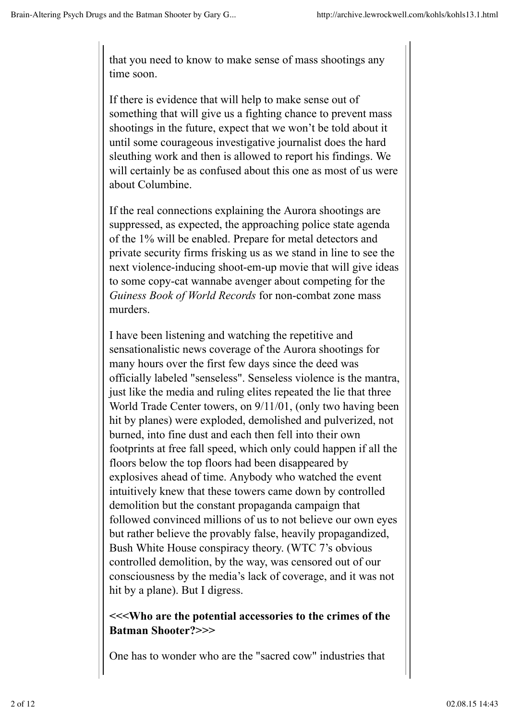that you need to know to make sense of mass shootings any time soon.

If there is evidence that will help to make sense out of something that will give us a fighting chance to prevent mass shootings in the future, expect that we won't be told about it until some courageous investigative journalist does the hard sleuthing work and then is allowed to report his findings. We will certainly be as confused about this one as most of us were about Columbine.

If the real connections explaining the Aurora shootings are suppressed, as expected, the approaching police state agenda of the 1% will be enabled. Prepare for metal detectors and private security firms frisking us as we stand in line to see the next violence-inducing shoot-em-up movie that will give ideas to some copy-cat wannabe avenger about competing for the *Guiness Book of World Records* for non-combat zone mass murders.

I have been listening and watching the repetitive and sensationalistic news coverage of the Aurora shootings for many hours over the first few days since the deed was officially labeled "senseless". Senseless violence is the mantra, just like the media and ruling elites repeated the lie that three World Trade Center towers, on 9/11/01, (only two having been hit by planes) were exploded, demolished and pulverized, not burned, into fine dust and each then fell into their own footprints at free fall speed, which only could happen if all the floors below the top floors had been disappeared by explosives ahead of time. Anybody who watched the event intuitively knew that these towers came down by controlled demolition but the constant propaganda campaign that followed convinced millions of us to not believe our own eyes but rather believe the provably false, heavily propagandized, Bush White House conspiracy theory. (WTC 7's obvious controlled demolition, by the way, was censored out of our consciousness by the media's lack of coverage, and it was not hit by a plane). But I digress.

#### **<<<Who are the potential accessories to the crimes of the Batman Shooter?>>>**

One has to wonder who are the "sacred cow" industries that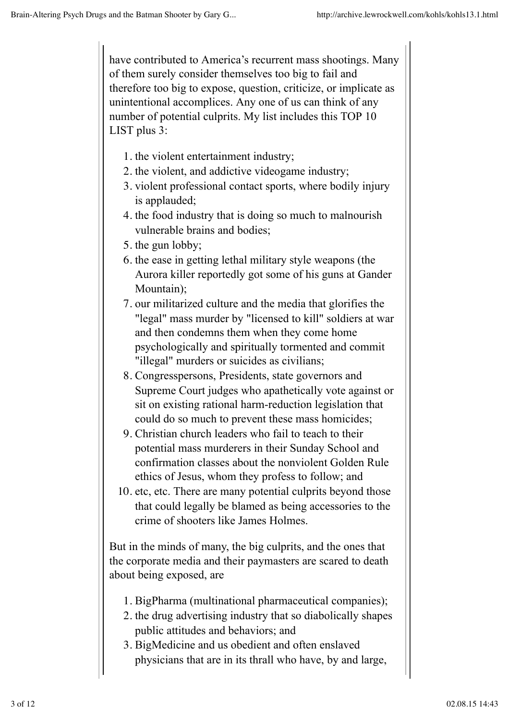have contributed to America's recurrent mass shootings. Many of them surely consider themselves too big to fail and therefore too big to expose, question, criticize, or implicate as unintentional accomplices. Any one of us can think of any number of potential culprits. My list includes this TOP 10 LIST plus 3:

- 1. the violent entertainment industry;
- 2. the violent, and addictive videogame industry;
- 3. violent professional contact sports, where bodily injury is applauded;
- 4. the food industry that is doing so much to malnourish vulnerable brains and bodies;
- 5. the gun lobby;
- 6. the ease in getting lethal military style weapons (the Aurora killer reportedly got some of his guns at Gander Mountain);
- 7. our militarized culture and the media that glorifies the "legal" mass murder by "licensed to kill" soldiers at war and then condemns them when they come home psychologically and spiritually tormented and commit "illegal" murders or suicides as civilians;
- 8. Congresspersons, Presidents, state governors and Supreme Court judges who apathetically vote against or sit on existing rational harm-reduction legislation that could do so much to prevent these mass homicides;
- Christian church leaders who fail to teach to their 9. potential mass murderers in their Sunday School and confirmation classes about the nonviolent Golden Rule ethics of Jesus, whom they profess to follow; and
- 10. etc, etc. There are many potential culprits beyond those that could legally be blamed as being accessories to the crime of shooters like James Holmes.

But in the minds of many, the big culprits, and the ones that the corporate media and their paymasters are scared to death about being exposed, are

- 1. BigPharma (multinational pharmaceutical companies);
- 2. the drug advertising industry that so diabolically shapes public attitudes and behaviors; and
- 3. BigMedicine and us obedient and often enslaved physicians that are in its thrall who have, by and large,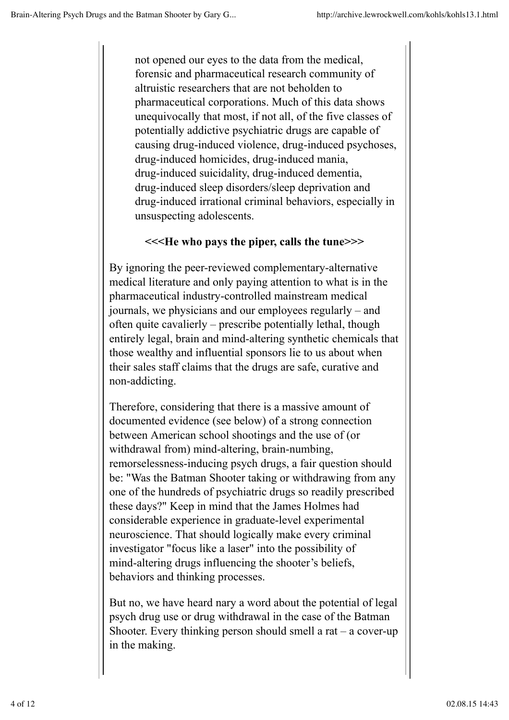not opened our eyes to the data from the medical, forensic and pharmaceutical research community of altruistic researchers that are not beholden to pharmaceutical corporations. Much of this data shows unequivocally that most, if not all, of the five classes of potentially addictive psychiatric drugs are capable of causing drug-induced violence, drug-induced psychoses, drug-induced homicides, drug-induced mania, drug-induced suicidality, drug-induced dementia, drug-induced sleep disorders/sleep deprivation and drug-induced irrational criminal behaviors, especially in unsuspecting adolescents.

### **<<<He who pays the piper, calls the tune>>>**

By ignoring the peer-reviewed complementary-alternative medical literature and only paying attention to what is in the pharmaceutical industry-controlled mainstream medical journals, we physicians and our employees regularly – and often quite cavalierly – prescribe potentially lethal, though entirely legal, brain and mind-altering synthetic chemicals that those wealthy and influential sponsors lie to us about when their sales staff claims that the drugs are safe, curative and non-addicting.

Therefore, considering that there is a massive amount of documented evidence (see below) of a strong connection between American school shootings and the use of (or withdrawal from) mind-altering, brain-numbing, remorselessness-inducing psych drugs, a fair question should be: "Was the Batman Shooter taking or withdrawing from any one of the hundreds of psychiatric drugs so readily prescribed these days?" Keep in mind that the James Holmes had considerable experience in graduate-level experimental neuroscience. That should logically make every criminal investigator "focus like a laser" into the possibility of mind-altering drugs influencing the shooter's beliefs, behaviors and thinking processes.

But no, we have heard nary a word about the potential of legal psych drug use or drug withdrawal in the case of the Batman Shooter. Every thinking person should smell a rat  $-$  a cover-up in the making.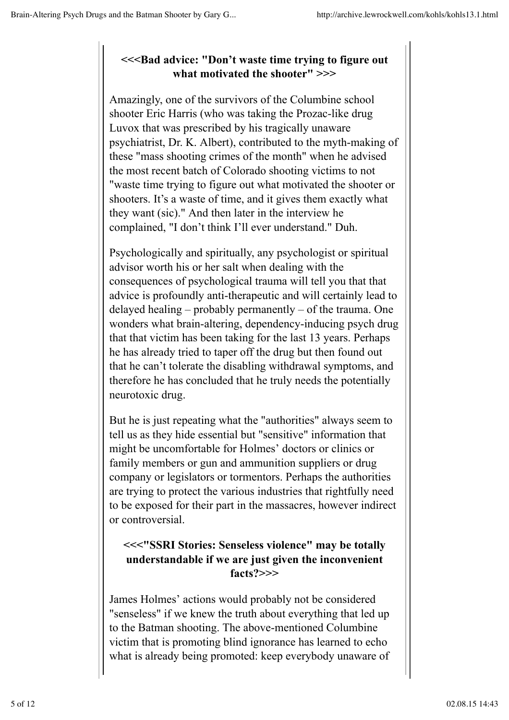## **<<<Bad advice: "Don't waste time trying to figure out what motivated the shooter" >>>**

Amazingly, one of the survivors of the Columbine school shooter Eric Harris (who was taking the Prozac-like drug Luvox that was prescribed by his tragically unaware psychiatrist, Dr. K. Albert), contributed to the myth-making of these "mass shooting crimes of the month" when he advised the most recent batch of Colorado shooting victims to not "waste time trying to figure out what motivated the shooter or shooters. It's a waste of time, and it gives them exactly what they want (sic)." And then later in the interview he complained, "I don't think I'll ever understand." Duh.

Psychologically and spiritually, any psychologist or spiritual advisor worth his or her salt when dealing with the consequences of psychological trauma will tell you that that advice is profoundly anti-therapeutic and will certainly lead to delayed healing – probably permanently – of the trauma. One wonders what brain-altering, dependency-inducing psych drug that that victim has been taking for the last 13 years. Perhaps he has already tried to taper off the drug but then found out that he can't tolerate the disabling withdrawal symptoms, and therefore he has concluded that he truly needs the potentially neurotoxic drug.

But he is just repeating what the "authorities" always seem to tell us as they hide essential but "sensitive" information that might be uncomfortable for Holmes' doctors or clinics or family members or gun and ammunition suppliers or drug company or legislators or tormentors. Perhaps the authorities are trying to protect the various industries that rightfully need to be exposed for their part in the massacres, however indirect or controversial.

### **<<<"SSRI Stories: Senseless violence" may be totally understandable if we are just given the inconvenient facts?>>>**

James Holmes' actions would probably not be considered "senseless" if we knew the truth about everything that led up to the Batman shooting. The above-mentioned Columbine victim that is promoting blind ignorance has learned to echo what is already being promoted: keep everybody unaware of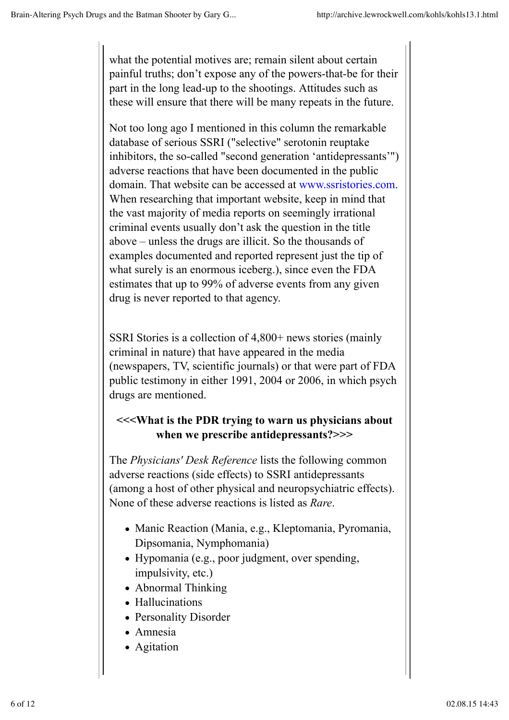what the potential motives are; remain silent about certain painful truths; don't expose any of the powers-that-be for their part in the long lead-up to the shootings. Attitudes such as these will ensure that there will be many repeats in the future.

Not too long ago I mentioned in this column the remarkable database of serious SSRI ("selective" serotonin reuptake inhibitors, the so-called "second generation 'antidepressants'") adverse reactions that have been documented in the public domain. That website can be accessed at www.ssristories.com. When researching that important website, keep in mind that the vast majority of media reports on seemingly irrational criminal events usually don't ask the question in the title above – unless the drugs are illicit. So the thousands of examples documented and reported represent just the tip of what surely is an enormous iceberg.), since even the FDA estimates that up to 99% of adverse events from any given drug is never reported to that agency.

SSRI Stories is a collection of 4,800+ news stories (mainly criminal in nature) that have appeared in the media (newspapers, TV, scientific journals) or that were part of FDA public testimony in either 1991, 2004 or 2006, in which psych drugs are mentioned.

## **<<<What is the PDR trying to warn us physicians about when we prescribe antidepressants?>>>**

The *Physicians' Desk Reference* lists the following common adverse reactions (side effects) to SSRI antidepressants (among a host of other physical and neuropsychiatric effects). None of these adverse reactions is listed as *Rare*.

- Manic Reaction (Mania, e.g., Kleptomania, Pyromania, Dipsomania, Nymphomania)
- Hypomania (e.g., poor judgment, over spending, impulsivity, etc.)
- Abnormal Thinking
- Hallucinations
- Personality Disorder
- Amnesia
- Agitation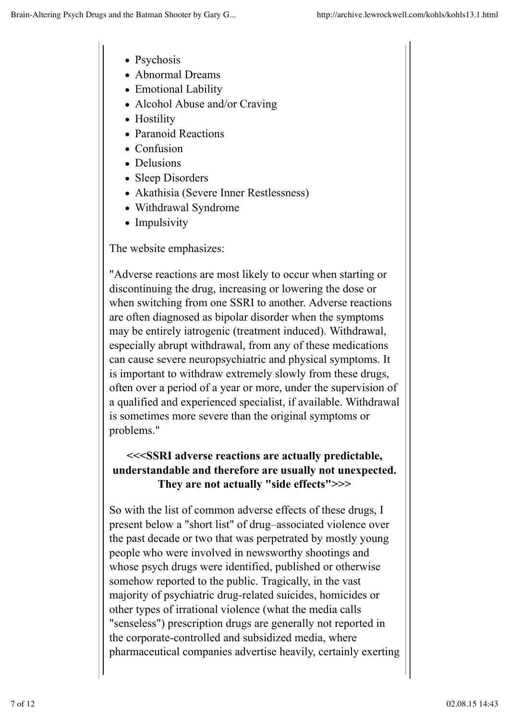- Psychosis
- Abnormal Dreams
- Emotional Lability
- Alcohol Abuse and/or Craving
- Hostility
- Paranoid Reactions
- Confusion
- Delusions
- Sleep Disorders
- Akathisia (Severe Inner Restlessness)
- Withdrawal Syndrome
- Impulsivity

The website emphasizes:

"Adverse reactions are most likely to occur when starting or discontinuing the drug, increasing or lowering the dose or when switching from one SSRI to another. Adverse reactions are often diagnosed as bipolar disorder when the symptoms may be entirely iatrogenic (treatment induced). Withdrawal, especially abrupt withdrawal, from any of these medications can cause severe neuropsychiatric and physical symptoms. It is important to withdraw extremely slowly from these drugs, often over a period of a year or more, under the supervision of a qualified and experienced specialist, if available. Withdrawal is sometimes more severe than the original symptoms or problems."

## **<<<SSRI adverse reactions are actually predictable, understandable and therefore are usually not unexpected. They are not actually "side effects">>>**

So with the list of common adverse effects of these drugs, I present below a "short list" of drug–associated violence over the past decade or two that was perpetrated by mostly young people who were involved in newsworthy shootings and whose psych drugs were identified, published or otherwise somehow reported to the public. Tragically, in the vast majority of psychiatric drug-related suicides, homicides or other types of irrational violence (what the media calls "senseless") prescription drugs are generally not reported in the corporate-controlled and subsidized media, where pharmaceutical companies advertise heavily, certainly exerting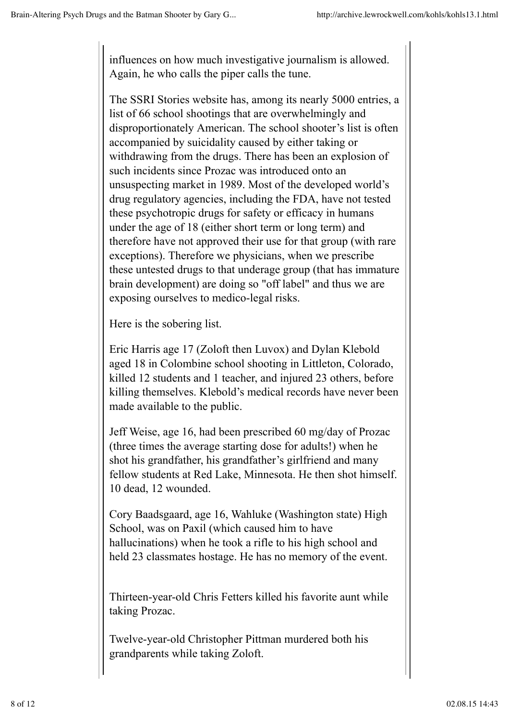influences on how much investigative journalism is allowed. Again, he who calls the piper calls the tune.

The SSRI Stories website has, among its nearly 5000 entries, a list of 66 school shootings that are overwhelmingly and disproportionately American. The school shooter's list is often accompanied by suicidality caused by either taking or withdrawing from the drugs. There has been an explosion of such incidents since Prozac was introduced onto an unsuspecting market in 1989. Most of the developed world's drug regulatory agencies, including the FDA, have not tested these psychotropic drugs for safety or efficacy in humans under the age of 18 (either short term or long term) and therefore have not approved their use for that group (with rare exceptions). Therefore we physicians, when we prescribe these untested drugs to that underage group (that has immature brain development) are doing so "off label" and thus we are exposing ourselves to medico-legal risks.

Here is the sobering list.

Eric Harris age 17 (Zoloft then Luvox) and Dylan Klebold aged 18 in Colombine school shooting in Littleton, Colorado, killed 12 students and 1 teacher, and injured 23 others, before killing themselves. Klebold's medical records have never been made available to the public.

Jeff Weise, age 16, had been prescribed 60 mg/day of Prozac (three times the average starting dose for adults!) when he shot his grandfather, his grandfather's girlfriend and many fellow students at Red Lake, Minnesota. He then shot himself. 10 dead, 12 wounded.

Cory Baadsgaard, age 16, Wahluke (Washington state) High School, was on Paxil (which caused him to have hallucinations) when he took a rifle to his high school and held 23 classmates hostage. He has no memory of the event.

Thirteen-year-old Chris Fetters killed his favorite aunt while taking Prozac.

Twelve-year-old Christopher Pittman murdered both his grandparents while taking Zoloft.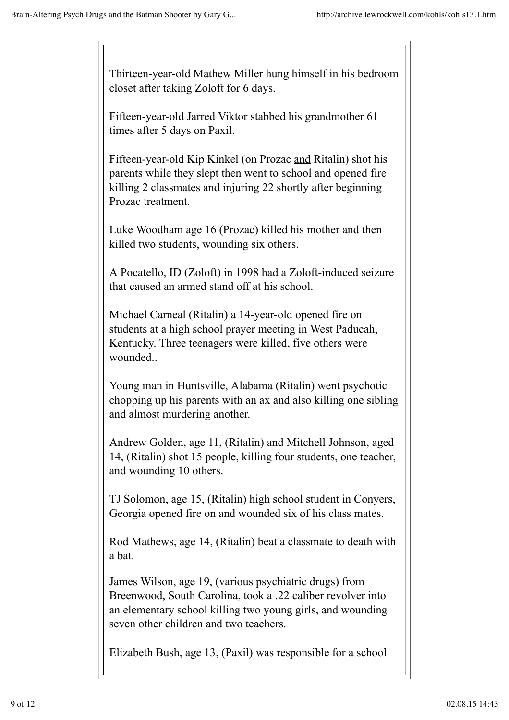Thirteen-year-old Mathew Miller hung himself in his bedroom closet after taking Zoloft for 6 days.

Fifteen-year-old Jarred Viktor stabbed his grandmother 61 times after 5 days on Paxil.

Fifteen-year-old Kip Kinkel (on Prozac and Ritalin) shot his parents while they slept then went to school and opened fire killing 2 classmates and injuring 22 shortly after beginning Prozac treatment.

Luke Woodham age 16 (Prozac) killed his mother and then killed two students, wounding six others.

A Pocatello, ID (Zoloft) in 1998 had a Zoloft-induced seizure that caused an armed stand off at his school.

Michael Carneal (Ritalin) a 14-year-old opened fire on students at a high school prayer meeting in West Paducah, Kentucky. Three teenagers were killed, five others were wounded..

Young man in Huntsville, Alabama (Ritalin) went psychotic chopping up his parents with an ax and also killing one sibling and almost murdering another.

Andrew Golden, age 11, (Ritalin) and Mitchell Johnson, aged 14, (Ritalin) shot 15 people, killing four students, one teacher, and wounding 10 others.

TJ Solomon, age 15, (Ritalin) high school student in Conyers, Georgia opened fire on and wounded six of his class mates.

Rod Mathews, age 14, (Ritalin) beat a classmate to death with a bat.

James Wilson, age 19, (various psychiatric drugs) from Breenwood, South Carolina, took a .22 caliber revolver into an elementary school killing two young girls, and wounding seven other children and two teachers.

Elizabeth Bush, age 13, (Paxil) was responsible for a school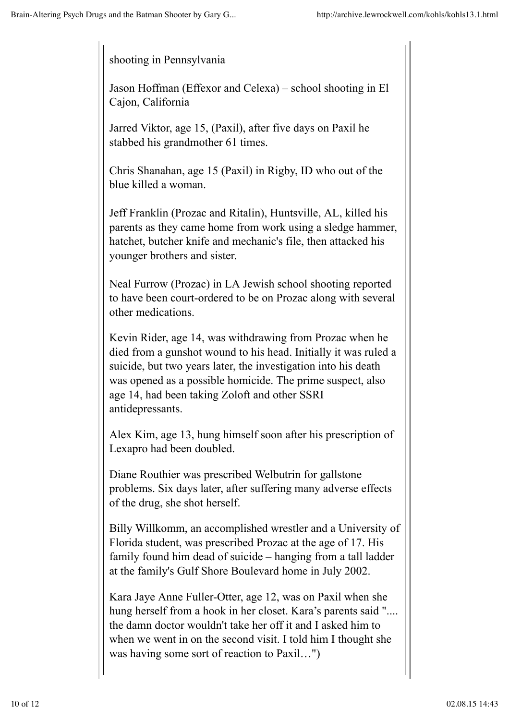shooting in Pennsylvania

Jason Hoffman (Effexor and Celexa) – school shooting in El Cajon, California

Jarred Viktor, age 15, (Paxil), after five days on Paxil he stabbed his grandmother 61 times.

Chris Shanahan, age 15 (Paxil) in Rigby, ID who out of the blue killed a woman.

Jeff Franklin (Prozac and Ritalin), Huntsville, AL, killed his parents as they came home from work using a sledge hammer, hatchet, butcher knife and mechanic's file, then attacked his younger brothers and sister.

Neal Furrow (Prozac) in LA Jewish school shooting reported to have been court-ordered to be on Prozac along with several other medications.

Kevin Rider, age 14, was withdrawing from Prozac when he died from a gunshot wound to his head. Initially it was ruled a suicide, but two years later, the investigation into his death was opened as a possible homicide. The prime suspect, also age 14, had been taking Zoloft and other SSRI antidepressants.

Alex Kim, age 13, hung himself soon after his prescription of Lexapro had been doubled.

Diane Routhier was prescribed Welbutrin for gallstone problems. Six days later, after suffering many adverse effects of the drug, she shot herself.

Billy Willkomm, an accomplished wrestler and a University of Florida student, was prescribed Prozac at the age of 17. His family found him dead of suicide – hanging from a tall ladder at the family's Gulf Shore Boulevard home in July 2002.

Kara Jaye Anne Fuller-Otter, age 12, was on Paxil when she hung herself from a hook in her closet. Kara's parents said ".... the damn doctor wouldn't take her off it and I asked him to when we went in on the second visit. I told him I thought she was having some sort of reaction to Paxil…")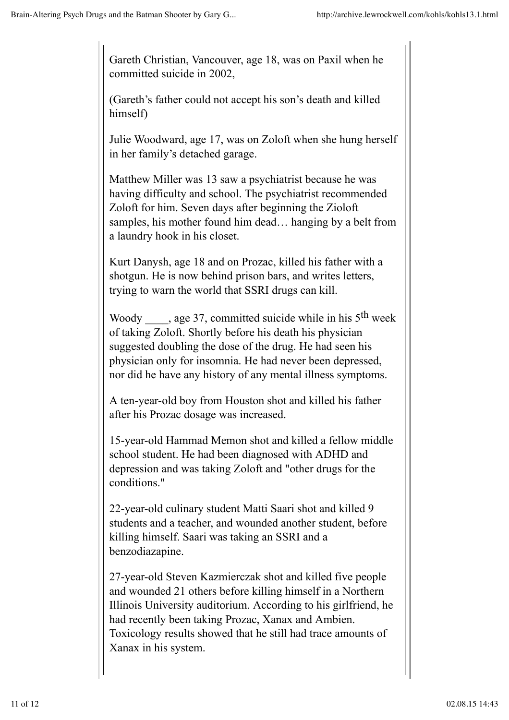Gareth Christian, Vancouver, age 18, was on Paxil when he committed suicide in 2002,

(Gareth's father could not accept his son's death and killed himself)

Julie Woodward, age 17, was on Zoloft when she hung herself in her family's detached garage.

Matthew Miller was 13 saw a psychiatrist because he was having difficulty and school. The psychiatrist recommended Zoloft for him. Seven days after beginning the Zioloft samples, his mother found him dead… hanging by a belt from a laundry hook in his closet.

Kurt Danysh, age 18 and on Prozac, killed his father with a shotgun. He is now behind prison bars, and writes letters, trying to warn the world that SSRI drugs can kill.

Woody  $\qquad$ , age 37, committed suicide while in his 5<sup>th</sup> week of taking Zoloft. Shortly before his death his physician suggested doubling the dose of the drug. He had seen his physician only for insomnia. He had never been depressed, nor did he have any history of any mental illness symptoms.

A ten-year-old boy from Houston shot and killed his father after his Prozac dosage was increased.

15-year-old Hammad Memon shot and killed a fellow middle school student. He had been diagnosed with ADHD and depression and was taking Zoloft and "other drugs for the conditions."

22-year-old culinary student Matti Saari shot and killed 9 students and a teacher, and wounded another student, before killing himself. Saari was taking an SSRI and a benzodiazapine.

27-year-old Steven Kazmierczak shot and killed five people and wounded 21 others before killing himself in a Northern Illinois University auditorium. According to his girlfriend, he had recently been taking Prozac, Xanax and Ambien. Toxicology results showed that he still had trace amounts of Xanax in his system.